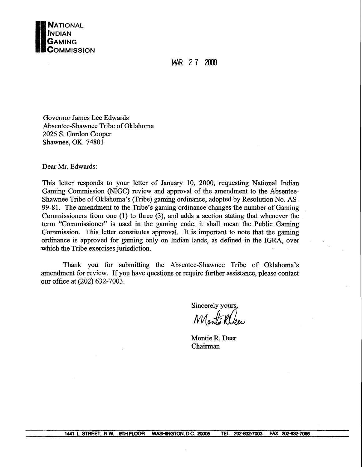

MAR 27 2000

Governor James Lee Edwards Absentee-Shawnee Tribe of Oklahoma 2025 S. Gordon Cooper Shawnee, OK 74801

Dear Mr. Edwards:

This letter responds to your letter of January 10, 2000, requesting National Indian Gaming Commission (NIGC) review and approval of the amendment to the Absentee-Shawnee Tribe of Oklahoma's (Tribe) gaming ordinance, adopted by Resolution No. AS-99-8 1. The amendment to the Tribe's gaming ordinance changes the number of Gaming Commissioners from one  $(1)$  to three  $(3)$ , and adds a section stating that whenever the term "Commissioner" is used in the gaming code, it shall mean the Public Gaming Commission. This letter constitutes approval. It is important to note that the gaming ordinance is approved for gaming only on Indian lands, as defined in the IGRA, over which the Tribe exercises jurisdiction.

Thank you for submitting the Absentee-Shawnee Tribe of Oklahoma's amendment for review. If you have questions or require further assistance, please contact our office at (202) 632-7003.

Sincerely yours,<br>Monté Klee

Montie R. Deer Chairman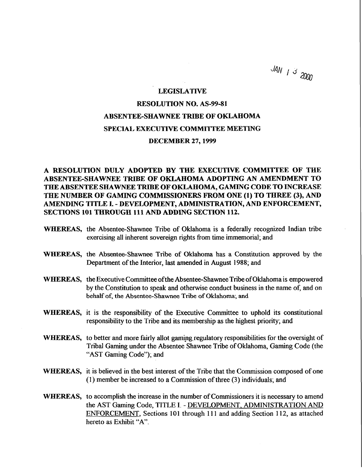$JAN$  /  $3$  2000

#### LEGISLATIVE

## RESOLUTION NO. AS-99-81 ABSENTEE-SHAWNEE TRIBE OF OKLAHOMA SPECIAL EXECUTNE COMMITTEE MEETING DECEMBER 27,1999

A RESOLUTION DULY ADOPTED BY THE EXECUTIVE COMMITTEE OF THE ABSENTEESHAWNEE TRIBE OF OKLAHOMA ADOPTING AN AMENDMENT TO THE ABSENTEE SHAWNEE TRIBE OF OKLAHOMA, GAMING CODE TO INCREASE THE NUMBER OF GAMING COMMISSIONERS FROM ONE (1) TO THREE **(3),** AND AMENDING TITLE I. - DEVELOPMENT, ADMINISTRATION, AND ENFORCEMENT, SECTIONS 101 THROUGH 111 AND ADDING SECTION 112.

- WHEREAS, the Absentee-Shawnee Tribe of Oklahoma is a federally recognized Indian tribe exercising all inherent sovereign rights fiom time immemorial; and
- WHEREAS, the Absentee-Shawnee Tribe of Oklahoma **has** a Constitution approved by the Department of the Interior, last amended in August 1988; and
- WHEREAS, the Executive Committee ofthe Absentee-Shawnee Tribe of Oklahoma is empowered by the Constitution to speak and otherwise conduct business in the name of, and on behalf of, the Absentee-Shawnee Tribe of **Oklahoma;** and
- WHEREAS, it is the responsibility of the Executive Committee to uphold its constitutional responsibility to the Tribe and its membership as the highest priority; and
- WHEREAS, to better and more fairly allot gaming regulatory responsibilities for the oversight of Tribal Gaming under the Absentee Shawnee Tribe of Oklahoma, Gaming Code (the "AST Gaming Code"); and
- WEEREAS, it is believed in the best interest of the Tribe that the Commission composed of one (1) member be increased to a Commission of three (3) individuals; and
- WHEREAS, to accomplish the increase in the number of Commissioners it is necessary to amend the AST Gaming Code, TITLE I. - DEVELOPMENT. ADMINISTRATION AND ENFORCEMENT, Sections 101 through 111 and adding Section 112, as attached hereto as Exhibit "A".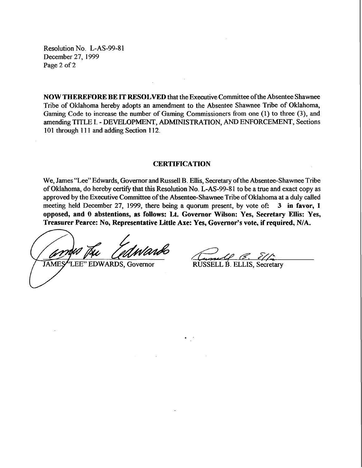Resolution No. L-AS-99-8 **<sup>1</sup>** December 27, 1999 Page 2 of 2

**NOW THEREFORE BE IT RESOLVED** that the Executive Committee ofthe Absentee Shawnee Tribe of Oklahoma hereby adopts an amendment to the Absentee Shawnee Tribe of Oklahoma, Gaming Code to increase the number of Gaming Commissioners from one (1) to three (3), and amending TITLE I. - DEVELOPMENT, ADMINISTRATION, AND ENFORCEMENT, Sections 101 through 111 and adding Section 112.

#### **CERTIFICATION**

We, James "Lee" Edwards, Governor and Russell B. Ellis, Secretary of the Absentee-Shawnee Tribe of Oklahoma, do hereby certify that this Resolution No. L-AS-99-81 to be a true and exact copy as approved by the Executive Committee of the Absentee-Shawnee Tribe of Oklahoma at a duly called meeting held December 27, 1999, there being a quorum present, by vote of: 3 **in favor, 1 opposed, and 0 abstentions, as follows: Lt. Governor Wilson: Yes, Secretary Ellis: Yes, Treasurer Pearce: No, Representative Little Axe: Yes, Governor's vote, if required, NIA.** 

*k&d*  " EDWARDS, Governor

**JAMES** 

RUSSELL B. ELLIS, Secretary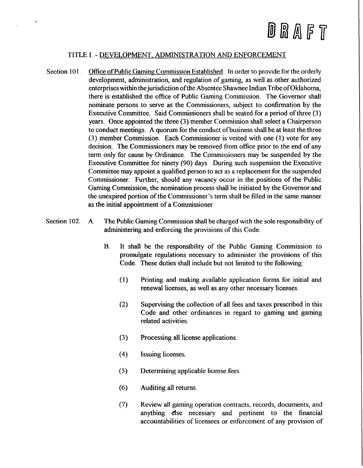# D R A F T

### TITLE I. - DEVELOPMENT. ADMINISTRATION AND ENFORCEMENT

- Section 101. Office of Public Gaming Commission Established. In order to provide for the orderly development, administration, and regulation of gaming, as well **as** other authorized enterprises within the jurisdiction of the Absentee Shawnee Indian Tribe of Oklahoma, there is established the office of Public Gaming Commission. The Governor shall nominate persons to serve as the Commissioners, subject to confirmation by the Executive Committee. Said Commissioners shall be seated for a period of three **(3)**  years. Once appointed the three **(3)** member Commission shall select a Chairperson to conduct meetings. A quorum for the conduct of business shall be at least the three (3) member Commission. Each Commissioner is vested with one (1) vote for any decision. The Commissioners may be removed fiom office prior to the end of any term only for cause by Ordinance. The Commissioners may be suspended by the Executive Committee for ninety **(90)** days. During such suspension the Executive Committee may appoint a qualified person to act as a replacement for the suspended Commissioner. Further, should any vacancy occur in the positions of the Public Gaming Commission, the nomination process shall be initiated by the Governor and the unexpired portion of the Commissioner's term shall be filled in the same manner **as** the initial appointment of a Commissioner.
- Section **102.** A. The Public Gaming Commission shall be charged with the sole responsibility of administering and enforcing the provisions of this Code.
	- **B.** It shall be the responsibility of the Public Gaming Commission to promulgate regulations necessary to administer the provisions of this Code. These duties shall include but not limited to the following:
		- **(1)** Printing and making available application forms for initial and renewal licenses, as well as any other necessary licenses.
		- (2) Supervising the collection of all fees and taxes prescribed in this Code and other ordinances in regard to gaming and gaming related activities.
		- (3) Processing all license applications.
		- (4) Issuing licenses.
		- (5) Determining applicable license fees
		- (6) Auditing all returns
		- (7) Review all gaming operation contracts, records, documents, and anything else necessary and pertinent to the financial accountabilities of licensees or enforcement of any provision of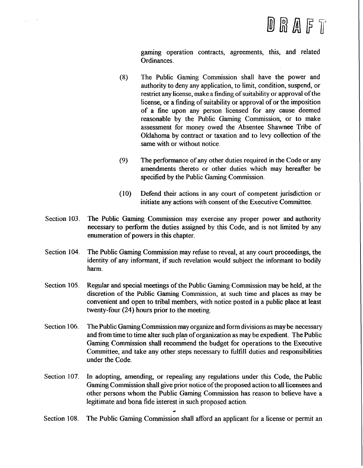gaming operation contracts, agreements, this, and related Ordinances.

- **(8)** The Public Gaming Commission shall have the power and authority to deny any application, to limit, condition, suspend, or restrict any license, make a finding of suitability or approval of the license, or a finding of suitability or approval of or the imposition of a fine upon any person licensed for any cause deemed reasonable by the Public Gaming Commission, or to make assessment for money owed the Absentee Shawnee Tribe of Oklahoma by contract or taxation and to levy collection of the same with or without notice.
- **(9)** The performance of any other duties required in the Code or any amendments thereto or other duties which may hereafter be specified by the Public Gaming Commission.
- **(10)** Defend their actions in any court of competent jurisdiction or initiate any actions with consent of the Executive Committee.
- Section 103. The Public Gaming Commission may exercise any proper power and authority necessary to perform the duties assigned by this Code, and is not limited by any enumeration of powers in this chapter.

 $\sim$ 

 $\sim 10^{-1}$ 

- Section **104.**  The Public Gaming Commission may refuse to reveal, at any court proceedings, the identity of any informant, if such revelation would subject the informant to bodily harm.
- Section 105. Regular and special meetings of the Public Gaming Commission may be held, at the discretion of the Public Gaming Commission, at such time and places as may be convenient and open to tribal members, with notice posted in a public place at least twenty-four (24) hours prior to the meeting.
- Section 106. The Public Gaming Commission may organize and form divisions as may be necessary and from time to time alter such plan of organization as may be expedient. The Public Gaming Commission shall recommend the budget for operations to the Executive Committee, and take any other steps necessary to fulfill duties and responsibilities under the Code.
- Section 107. In adopting, amending, or repealing any regulations under this Code, the Public Gaming Commission shall give prior notice of the proposed action to all licensees and other persons whom the Public Gaming Commission has reason to believe have a legitimate and bona fide interest in such proposed action.

Section **108.**  The Public Gaming Commission shall afford an applicant for a license or permit an

**r**